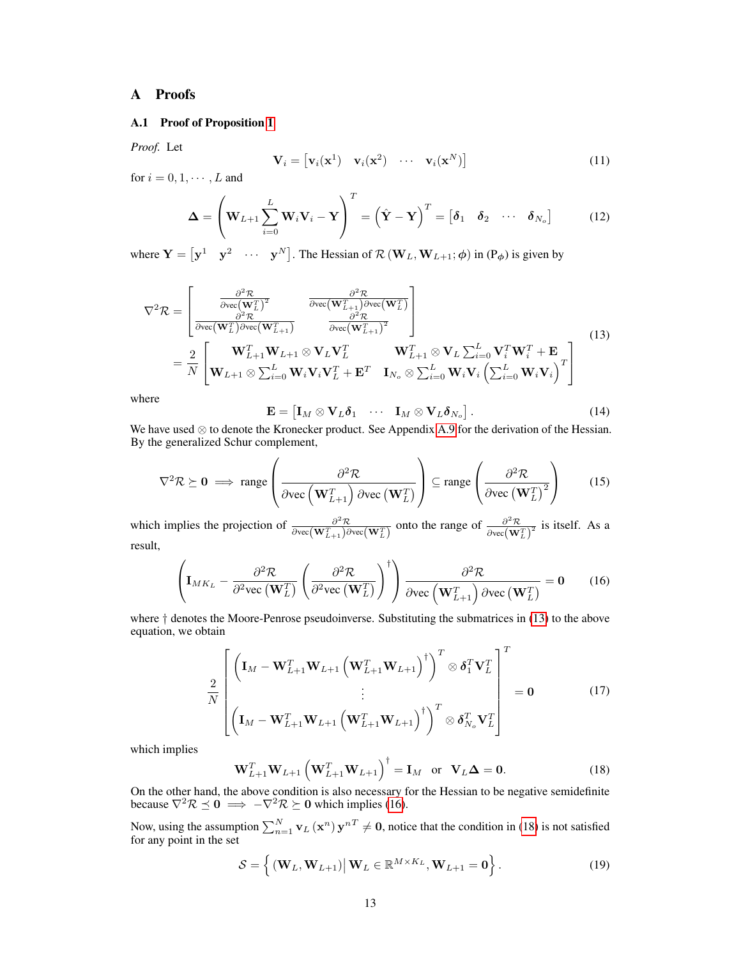## A Proofs

## A.1 Proof of Proposition [1](#page--1-0)

*Proof.* Let

$$
\mathbf{V}_i = \begin{bmatrix} \mathbf{v}_i(\mathbf{x}^1) & \mathbf{v}_i(\mathbf{x}^2) & \cdots & \mathbf{v}_i(\mathbf{x}^N) \end{bmatrix}
$$
(11)

for  $i = 0, 1, \cdots, L$  and

$$
\Delta = \left(\mathbf{W}_{L+1} \sum_{i=0}^{L} \mathbf{W}_{i} \mathbf{V}_{i} - \mathbf{Y}\right)^{T} = \left(\hat{\mathbf{Y}} - \mathbf{Y}\right)^{T} = \begin{bmatrix} \boldsymbol{\delta}_{1} & \boldsymbol{\delta}_{2} & \cdots & \boldsymbol{\delta}_{N_{o}} \end{bmatrix}
$$
(12)

<span id="page-0-0"></span>where  $\mathbf{Y} = \begin{bmatrix} \mathbf{y}^1 & \mathbf{y}^2 & \cdots & \mathbf{y}^N \end{bmatrix}$ . The Hessian of  $\mathcal{R}(\mathbf{W}_L, \mathbf{W}_{L+1}; \boldsymbol{\phi})$  in  $(\mathbf{P}_{\boldsymbol{\phi}})$  is given by

$$
\nabla^{2} \mathcal{R} = \begin{bmatrix}\n\frac{\partial^{2} \mathcal{R}}{\partial \text{vec}(\mathbf{W}_{L}^{T})^{2}} & \frac{\partial^{2} \mathcal{R}}{\partial \text{vec}(\mathbf{W}_{L+1}^{T}) \partial \text{vec}(\mathbf{W}_{L}^{T})} \\
\frac{\partial^{2} \mathcal{R}}{\partial \text{vec}(\mathbf{W}_{L}^{T}) \partial \text{vec}(\mathbf{W}_{L+1}^{T})} & \frac{\partial^{2} \mathcal{R}}{\partial \text{vec}(\mathbf{W}_{L+1}^{T})^{2}}\n\end{bmatrix} \\
= \frac{2}{N} \begin{bmatrix}\n\mathbf{W}_{L+1}^{T} \mathbf{W}_{L+1} \otimes \mathbf{V}_{L} \mathbf{V}_{L}^{T} & \mathbf{W}_{L+1}^{T} \otimes \mathbf{V}_{L} \sum_{i=0}^{L} \mathbf{V}_{i}^{T} \mathbf{W}_{i}^{T} + \mathbf{E} \\
\mathbf{W}_{L+1} \otimes \sum_{i=0}^{L} \mathbf{W}_{i} \mathbf{V}_{i} \mathbf{V}_{L}^{T} + \mathbf{E}^{T} & \mathbf{I}_{N_{o}} \otimes \sum_{i=0}^{L} \mathbf{W}_{i} \mathbf{V}_{i} \left(\sum_{i=0}^{L} \mathbf{W}_{i} \mathbf{V}_{i}\right)^{T}\n\end{bmatrix}
$$
\n(13)

where

$$
\mathbf{E} = \begin{bmatrix} \mathbf{I}_M \otimes \mathbf{V}_L \boldsymbol{\delta}_1 & \cdots & \mathbf{I}_M \otimes \mathbf{V}_L \boldsymbol{\delta}_{N_o} \end{bmatrix} . \tag{14}
$$

We have used ⊗ to denote the Kronecker product. See Appendix [A.9](#page-5-0) for the derivation of the Hessian. By the generalized Schur complement,

$$
\nabla^2 \mathcal{R} \succeq \mathbf{0} \implies \text{range}\left(\frac{\partial^2 \mathcal{R}}{\partial \text{vec}\left(\mathbf{W}_{L+1}^T\right) \partial \text{vec}\left(\mathbf{W}_{L}^T\right)}\right) \subseteq \text{range}\left(\frac{\partial^2 \mathcal{R}}{\partial \text{vec}\left(\mathbf{W}_{L}^T\right)^2}\right) \tag{15}
$$

which implies the projection of  $\frac{\partial^2 \mathcal{R}}{\partial w \partial (\mathbf{W}^T)}$  $\frac{\partial^2 \mathcal{R}}{\partial \text{vec}(\mathbf{W}_{L+1}^T) \partial \text{vec}(\mathbf{W}_L^T)}$  onto the range of  $\frac{\partial^2 \mathcal{R}}{\partial \text{vec}(\mathbf{W}_{L+1}^T)}$  $\frac{\partial^2 \mathcal{R}}{\partial \text{vec}(\mathbf{W}_L^T)^2}$  is itself. As a result,

<span id="page-0-1"></span>
$$
\left(\mathbf{I}_{MK_L} - \frac{\partial^2 \mathcal{R}}{\partial^2 \text{vec}\left(\mathbf{W}_L^T\right)} \left(\frac{\partial^2 \mathcal{R}}{\partial^2 \text{vec}\left(\mathbf{W}_L^T\right)}\right)^{\dagger}\right) \frac{\partial^2 \mathcal{R}}{\partial \text{vec}\left(\mathbf{W}_{L+1}^T\right) \partial \text{vec}\left(\mathbf{W}_L^T\right)} = \mathbf{0} \tag{16}
$$

where  $\dagger$  denotes the Moore-Penrose pseudoinverse. Substituting the submatrices in [\(13\)](#page-0-0) to the above equation, we obtain

$$
\frac{2}{N} \left[ \left( \mathbf{I}_M - \mathbf{W}_{L+1}^T \mathbf{W}_{L+1} \left( \mathbf{W}_{L+1}^T \mathbf{W}_{L+1} \right)^{\dagger} \right)^T \otimes \boldsymbol{\delta}_1^T \mathbf{V}_L^T \right]^T = \mathbf{0}
$$
(17)  

$$
\left( \mathbf{I}_M - \mathbf{W}_{L+1}^T \mathbf{W}_{L+1} \left( \mathbf{W}_{L+1}^T \mathbf{W}_{L+1} \right)^{\dagger} \right)^T \otimes \boldsymbol{\delta}_{N_o}^T \mathbf{V}_L^T
$$

which implies

<span id="page-0-2"></span>
$$
\mathbf{W}_{L+1}^T \mathbf{W}_{L+1} \left( \mathbf{W}_{L+1}^T \mathbf{W}_{L+1} \right)^{\dagger} = \mathbf{I}_M \quad \text{or} \quad \mathbf{V}_L \Delta = \mathbf{0}. \tag{18}
$$

On the other hand, the above condition is also necessary for the Hessian to be negative semidefinite because  $\nabla^2 \mathcal{R} \preceq 0 \implies -\nabla^2 \mathcal{R} \succeq 0$  which implies [\(16\)](#page-0-1).

Now, using the assumption  $\sum_{n=1}^{N}$   $\mathbf{v}_L(\mathbf{x}^n)\mathbf{y}^{n} \neq \mathbf{0}$ , notice that the condition in [\(18\)](#page-0-2) is not satisfied for any point in the set

$$
S = \left\{ \left( \mathbf{W}_{L}, \mathbf{W}_{L+1} \right) \middle| \mathbf{W}_{L} \in \mathbb{R}^{M \times K_{L}}, \mathbf{W}_{L+1} = \mathbf{0} \right\}.
$$
 (19)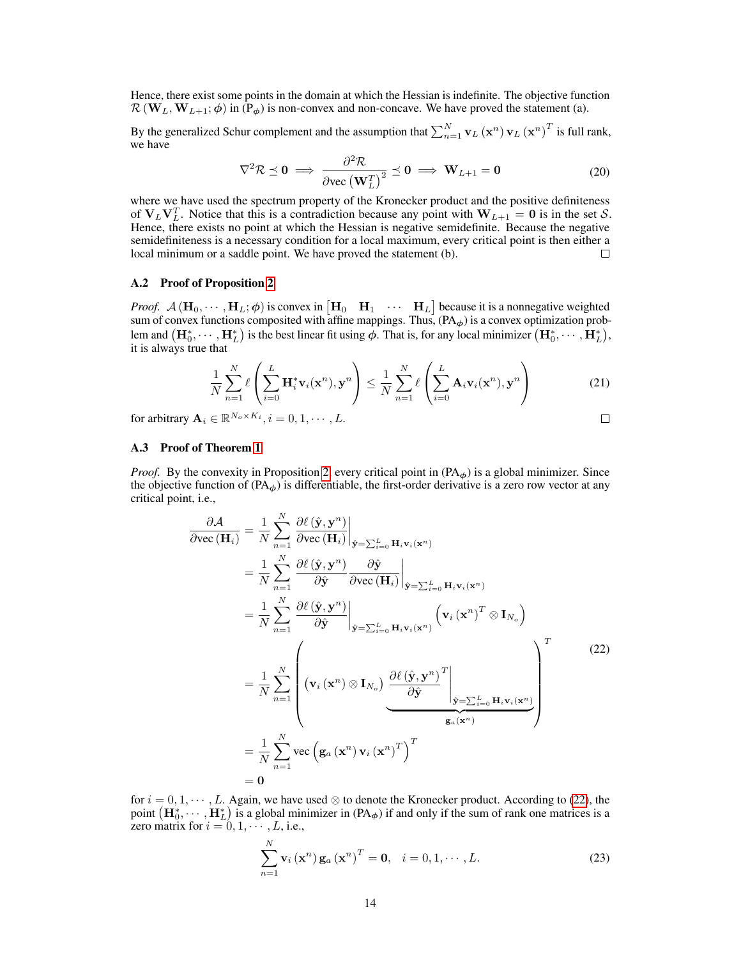Hence, there exist some points in the domain at which the Hessian is indefinite. The objective function  $\mathcal{R}(\mathbf{W}_L, \mathbf{W}_{L+1}; \phi)$  in (P<sub> $\phi$ </sub>) is non-convex and non-concave. We have proved the statement (a).

By the generalized Schur complement and the assumption that  $\sum_{n=1}^{N}$   $\mathbf{v}_L(\mathbf{x}^n)$   $\mathbf{v}_L(\mathbf{x}^n)^T$  is full rank, we have

$$
\nabla^2 \mathcal{R} \preceq 0 \implies \frac{\partial^2 \mathcal{R}}{\partial \text{vec}(\mathbf{W}_L^T)}^2 \preceq 0 \implies \mathbf{W}_{L+1} = 0 \tag{20}
$$

where we have used the spectrum property of the Kronecker product and the positive definiteness of  $V_L V_L^T$ . Notice that this is a contradiction because any point with  $W_{L+1} = 0$  is in the set S. Hence, there exists no point at which the Hessian is negative semidefinite. Because the negative semidefiniteness is a necessary condition for a local maximum, every critical point is then either a local minimum or a saddle point. We have proved the statement (b). □

#### A.2 Proof of Proposition [2](#page--1-1)

*Proof.*  $\mathcal{A}(\mathbf{H}_0, \dots, \mathbf{H}_L; \phi)$  is convex in  $[\mathbf{H}_0 \quad \mathbf{H}_1 \quad \dots \quad \mathbf{H}_L]$  because it is a nonnegative weighted sum of convex functions composited with affine mappings. Thus,  $(PA_{\phi})$  is a convex optimization problem and  $(\mathbf{H}_0^*, \cdots, \mathbf{H}_L^*)$  is the best linear fit using  $\phi$ . That is, for any local minimizer  $(\mathbf{H}_0^*, \cdots, \mathbf{H}_L^*)$ , it is always true that

$$
\frac{1}{N} \sum_{n=1}^{N} \ell \left( \sum_{i=0}^{L} \mathbf{H}_{i}^{*} \mathbf{v}_{i}(\mathbf{x}^{n}), \mathbf{y}^{n} \right) \leq \frac{1}{N} \sum_{n=1}^{N} \ell \left( \sum_{i=0}^{L} \mathbf{A}_{i} \mathbf{v}_{i}(\mathbf{x}^{n}), \mathbf{y}^{n} \right)
$$
(21)

for arbitrary  $\mathbf{A}_i \in \mathbb{R}^{N_o \times K_i}, i = 0, 1, \cdots, L$ .

# $\Box$

#### A.3 Proof of Theorem [1](#page--1-2)

*Proof.* By the convexity in Proposition [2,](#page--1-1) every critical point in  $(PA<sub>φ</sub>)$  is a global minimizer. Since the objective function of  $(PA_{\phi})$  is differentiable, the first-order derivative is a zero row vector at any critical point, i.e.,

<span id="page-1-0"></span>
$$
\frac{\partial \mathcal{A}}{\partial \text{vec}(\mathbf{H}_{i})} = \frac{1}{N} \sum_{n=1}^{N} \frac{\partial \ell(\hat{\mathbf{y}}, \mathbf{y}^{n})}{\partial \text{vec}(\mathbf{H}_{i})} \Big|_{\hat{\mathbf{y}} = \sum_{i=0}^{L} \mathbf{H}_{i} \mathbf{v}_{i}(\mathbf{x}^{n})}
$$
\n
$$
= \frac{1}{N} \sum_{n=1}^{N} \frac{\partial \ell(\hat{\mathbf{y}}, \mathbf{y}^{n})}{\partial \hat{\mathbf{y}}} \frac{\partial \hat{\mathbf{y}}}{\partial \text{vec}(\mathbf{H}_{i})} \Big|_{\hat{\mathbf{y}} = \sum_{i=0}^{L} \mathbf{H}_{i} \mathbf{v}_{i}(\mathbf{x}^{n})}
$$
\n
$$
= \frac{1}{N} \sum_{n=1}^{N} \frac{\partial \ell(\hat{\mathbf{y}}, \mathbf{y}^{n})}{\partial \hat{\mathbf{y}}} \Big|_{\hat{\mathbf{y}} = \sum_{i=0}^{L} \mathbf{H}_{i} \mathbf{v}_{i}(\mathbf{x}^{n})} \left( \mathbf{v}_{i}(\mathbf{x}^{n})^{T} \otimes \mathbf{I}_{N_{o}} \right)
$$
\n
$$
= \frac{1}{N} \sum_{n=1}^{N} \left( \mathbf{v}_{i}(\mathbf{x}^{n}) \otimes \mathbf{I}_{N_{o}} \right) \frac{\partial \ell(\hat{\mathbf{y}}, \mathbf{y}^{n})}{\partial \hat{\mathbf{y}}} \Big|_{\hat{\mathbf{y}} = \sum_{i=0}^{L} \mathbf{H}_{i} \mathbf{v}_{i}(\mathbf{x}^{n})}
$$
\n
$$
= \frac{1}{N} \sum_{n=1}^{N} \text{vec} \left( \mathbf{g}_{a}(\mathbf{x}^{n}) \mathbf{v}_{i}(\mathbf{x}^{n})^{T} \right)^{T}
$$
\n
$$
= \mathbf{0}
$$
\n(22)

for  $i = 0, 1, \dots, L$ . Again, we have used ⊗ to denote the Kronecker product. According to [\(22\)](#page-1-0), the point  $(\mathbf{H}_0^*, \cdots, \mathbf{H}_L^*)$  is a global minimizer in  $(\mathsf{PA}_{\phi})$  if and only if the sum of rank one matrices is a zero matrix for  $i = 0, 1, \dots, L$ , i.e.,

$$
\sum_{n=1}^{N} \mathbf{v}_i(\mathbf{x}^n) \mathbf{g}_a(\mathbf{x}^n)^T = \mathbf{0}, \quad i = 0, 1, \cdots, L.
$$
 (23)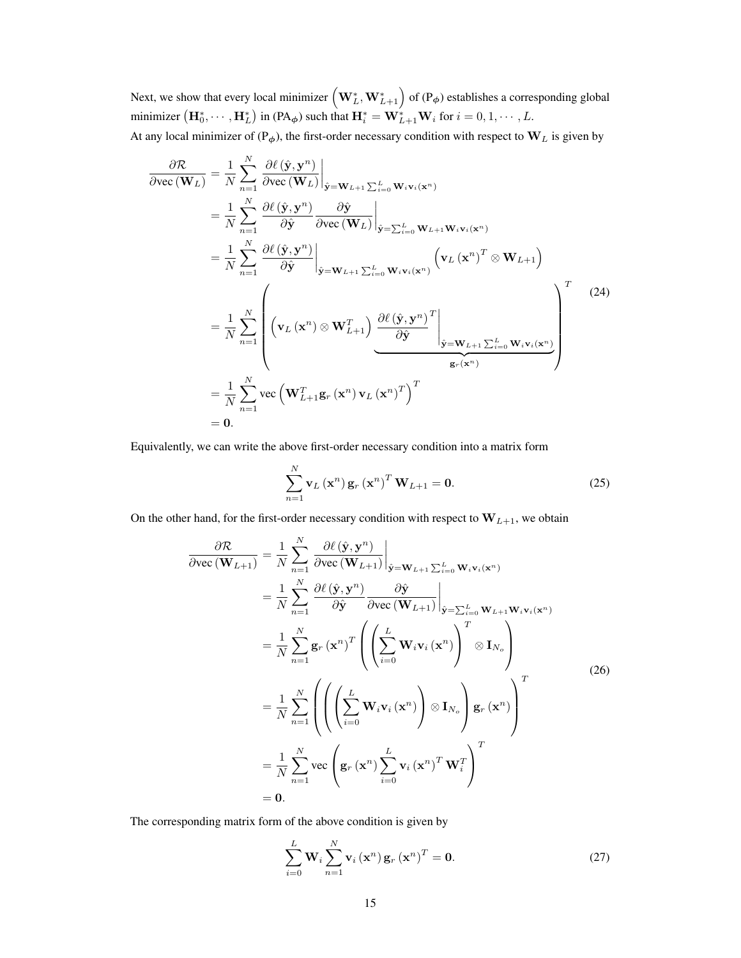Next, we show that every local minimizer  $\left( \mathbf{W}_{L}^{*},\mathbf{W}_{L+1}^{*} \right)$  of (P $_{\phi}$ ) establishes a corresponding global minimizer  $(\mathbf{H}_0^*, \cdots, \mathbf{H}_L^*)$  in  $(\mathsf{PA}_{\phi})$  such that  $\mathbf{H}_i^* = \mathbf{W}_{L+1}^* \mathbf{W}_i$  for  $i = 0, 1, \cdots, L$ . At any local minimizer of ( $P_{\phi}$ ), the first-order necessary condition with respect to  $W_L$  is given by

$$
\frac{\partial \mathcal{R}}{\partial \text{vec}(\mathbf{W}_{L})} = \frac{1}{N} \sum_{n=1}^{N} \frac{\partial \ell(\hat{\mathbf{y}}, \mathbf{y}^{n})}{\partial \text{vec}(\mathbf{W}_{L})} \Big|_{\hat{\mathbf{y}} = \mathbf{W}_{L+1} \sum_{i=0}^{L} \mathbf{W}_{i} \mathbf{v}_{i}(\mathbf{x}^{n})}
$$
\n
$$
= \frac{1}{N} \sum_{n=1}^{N} \frac{\partial \ell(\hat{\mathbf{y}}, \mathbf{y}^{n})}{\partial \hat{\mathbf{y}}} \frac{\partial \hat{\mathbf{y}}}{\partial \text{vec}(\mathbf{W}_{L})} \Big|_{\hat{\mathbf{y}} = \sum_{i=0}^{L} \mathbf{W}_{L+1} \mathbf{W}_{i} \mathbf{v}_{i}(\mathbf{x}^{n})}
$$
\n
$$
= \frac{1}{N} \sum_{n=1}^{N} \frac{\partial \ell(\hat{\mathbf{y}}, \mathbf{y}^{n})}{\partial \hat{\mathbf{y}}} \Big|_{\hat{\mathbf{y}} = \mathbf{W}_{L+1} \sum_{i=0}^{L} \mathbf{W}_{i} \mathbf{v}_{i}(\mathbf{x}^{n})} \left( \mathbf{v}_{L} (\mathbf{x}^{n})^{T} \otimes \mathbf{W}_{L+1} \right)
$$
\n
$$
= \frac{1}{N} \sum_{n=1}^{N} \left( \mathbf{v}_{L} (\mathbf{x}^{n}) \otimes \mathbf{W}_{L+1}^{T} \right) \underbrace{\frac{\partial \ell(\hat{\mathbf{y}}, \mathbf{y}^{n})}{\partial \hat{\mathbf{y}}}^{T} \Big|_{\hat{\mathbf{y}} = \mathbf{W}_{L+1} \sum_{i=0}^{L} \mathbf{W}_{i} \mathbf{v}_{i}(\mathbf{x}^{n})}
$$
\n
$$
= \frac{1}{N} \sum_{n=1}^{N} \text{vec} \left( \mathbf{W}_{L+1}^{T} \mathbf{g}_{r} (\mathbf{x}^{n}) \mathbf{v}_{L} (\mathbf{x}^{n})^{T} \right)^{T}
$$
\n= 0.

Equivalently, we can write the above first-order necessary condition into a matrix form

<span id="page-2-0"></span>
$$
\sum_{n=1}^{N} \mathbf{v}_{L}(\mathbf{x}^{n}) \mathbf{g}_{r}(\mathbf{x}^{n})^{T} \mathbf{W}_{L+1} = \mathbf{0}.
$$
 (25)

On the other hand, for the first-order necessary condition with respect to  $W_{L+1}$ , we obtain

$$
\frac{\partial \mathcal{R}}{\partial \text{vec}(\mathbf{W}_{L+1})} = \frac{1}{N} \sum_{n=1}^{N} \frac{\partial \ell(\hat{\mathbf{y}}, \mathbf{y}^{n})}{\partial \text{vec}(\mathbf{W}_{L+1})} \Big|_{\hat{\mathbf{y}} = \mathbf{W}_{L+1} \sum_{i=0}^{L} \mathbf{W}_{i} \mathbf{v}_{i}(\mathbf{x}^{n})}
$$
\n
$$
= \frac{1}{N} \sum_{n=1}^{N} \frac{\partial \ell(\hat{\mathbf{y}}, \mathbf{y}^{n})}{\partial \hat{\mathbf{y}}} \frac{\partial \hat{\mathbf{y}}}{\partial \text{vec}(\mathbf{W}_{L+1})} \Big|_{\hat{\mathbf{y}} = \sum_{i=0}^{L} \mathbf{W}_{L+1} \mathbf{W}_{i} \mathbf{v}_{i}(\mathbf{x}^{n})}
$$
\n
$$
= \frac{1}{N} \sum_{n=1}^{N} \mathbf{g}_{r}(\mathbf{x}^{n})^{T} \left( \left( \sum_{i=0}^{L} \mathbf{W}_{i} \mathbf{v}_{i}(\mathbf{x}^{n}) \right)^{T} \otimes \mathbf{I}_{N_{o}} \right)
$$
\n
$$
= \frac{1}{N} \sum_{n=1}^{N} \left( \left( \left( \sum_{i=0}^{L} \mathbf{W}_{i} \mathbf{v}_{i}(\mathbf{x}^{n}) \right) \otimes \mathbf{I}_{N_{o}} \right) \mathbf{g}_{r}(\mathbf{x}^{n}) \right)^{T}
$$
\n
$$
= \frac{1}{N} \sum_{n=1}^{N} \text{vec} \left( \mathbf{g}_{r}(\mathbf{x}^{n}) \sum_{i=0}^{L} \mathbf{v}_{i}(\mathbf{x}^{n})^{T} \mathbf{W}_{i}^{T} \right)^{T}
$$
\n
$$
= 0.
$$
\n(26)

The corresponding matrix form of the above condition is given by

<span id="page-2-1"></span>
$$
\sum_{i=0}^{L} \mathbf{W}_i \sum_{n=1}^{N} \mathbf{v}_i (\mathbf{x}^n) \mathbf{g}_r (\mathbf{x}^n)^T = \mathbf{0}.
$$
 (27)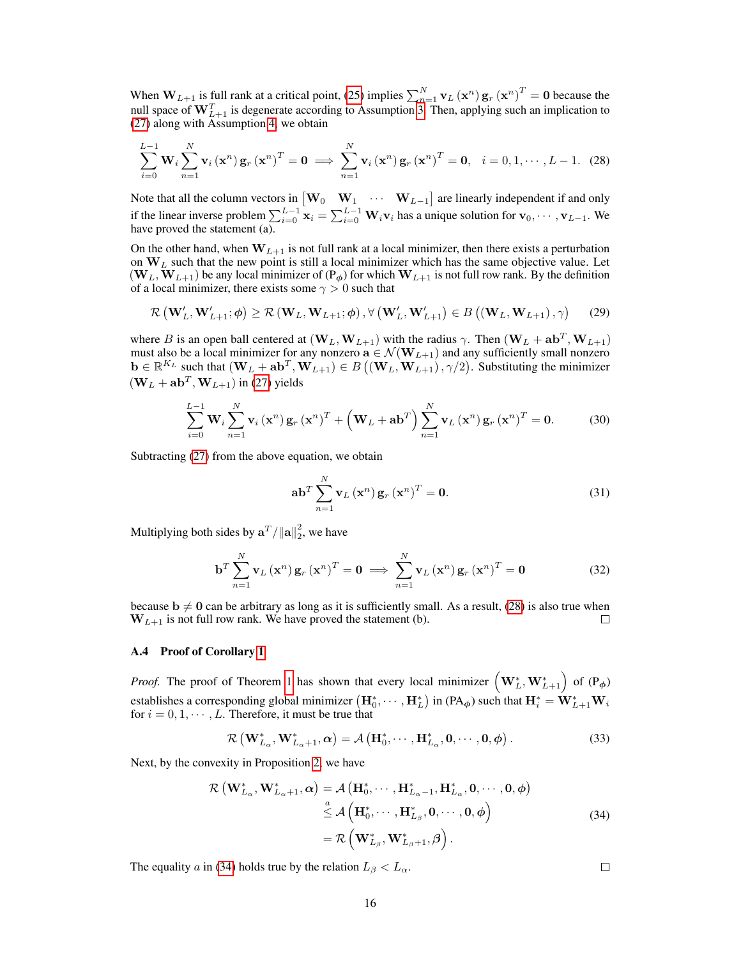When  $W_{L+1}$  is full rank at a critical point, [\(25\)](#page-2-0) implies  $\sum_{n=1}^{N} v_L(x^n) g_r(x^n)^T = 0$  because the null space of  $\mathbf{W}_{L+1}^T$  is degenerate according to Assumption [3.](#page--1-3) Then, applying such an implication to [\(27\)](#page-2-1) along with Assumption [4,](#page--1-4) we obtain

<span id="page-3-0"></span>
$$
\sum_{i=0}^{L-1} \mathbf{W}_i \sum_{n=1}^{N} \mathbf{v}_i (\mathbf{x}^n) \mathbf{g}_r (\mathbf{x}^n)^T = \mathbf{0} \implies \sum_{n=1}^{N} \mathbf{v}_i (\mathbf{x}^n) \mathbf{g}_r (\mathbf{x}^n)^T = \mathbf{0}, \quad i = 0, 1, \cdots, L-1.
$$
 (28)

Note that all the column vectors in  $\begin{bmatrix} \mathbf{W}_0 & \mathbf{W}_1 & \cdots & \mathbf{W}_{L-1} \end{bmatrix}$  are linearly independent if and only if the linear inverse problem  $\sum_{i=0}^{L-1} \mathbf{x}_i = \sum_{i=0}^{L-1} \mathbf{W}_i \mathbf{v}_i$  has a unique solution for  $\mathbf{v}_0, \dots, \mathbf{v}_{L-1}$ . We have proved the statement  $(a)$ .

On the other hand, when  $W_{L+1}$  is not full rank at a local minimizer, then there exists a perturbation on  $W_L$  such that the new point is still a local minimizer which has the same objective value. Let  $(\mathbf{W}_L, \mathbf{W}_{L+1})$  be any local minimizer of  $(P_{\phi})$  for which  $\mathbf{W}_{L+1}$  is not full row rank. By the definition of a local minimizer, there exists some  $\gamma > 0$  such that

$$
\mathcal{R}\left(\mathbf{W}_{L}', \mathbf{W}_{L+1}'; \boldsymbol{\phi}\right) \geq \mathcal{R}\left(\mathbf{W}_{L}, \mathbf{W}_{L+1}; \boldsymbol{\phi}\right), \forall \left(\mathbf{W}_{L}', \mathbf{W}_{L+1}'\right) \in B\left(\left(\mathbf{W}_{L}, \mathbf{W}_{L+1}\right), \gamma\right) \tag{29}
$$

where B is an open ball centered at  $(\mathbf{W}_L, \mathbf{W}_{L+1})$  with the radius  $\gamma$ . Then  $(\mathbf{W}_L + \mathbf{a} \mathbf{b}^T, \mathbf{W}_{L+1})$ must also be a local minimizer for any nonzero  $\mathbf{a} \in \mathcal{N}(\mathbf{W}_{L+1})$  and any sufficiently small nonzero  $\mathbf{b} \in \mathbb{R}^{K_L}$  such that  $(\mathbf{W}_L + \mathbf{a}\mathbf{b}^T, \mathbf{W}_{L+1}) \in B((\mathbf{W}_L, \mathbf{W}_{L+1}), \gamma/2)$ . Substituting the minimizer  $(\mathbf{W}_L + \mathbf{a} \mathbf{b}^T, \mathbf{W}_{L+1})$  in [\(27\)](#page-2-1) yields

$$
\sum_{i=0}^{L-1} \mathbf{W}_i \sum_{n=1}^{N} \mathbf{v}_i (\mathbf{x}^n) \mathbf{g}_r (\mathbf{x}^n)^T + \left( \mathbf{W}_L + \mathbf{a} \mathbf{b}^T \right) \sum_{n=1}^{N} \mathbf{v}_L (\mathbf{x}^n) \mathbf{g}_r (\mathbf{x}^n)^T = \mathbf{0}.
$$
 (30)

Subtracting [\(27\)](#page-2-1) from the above equation, we obtain

$$
\mathbf{a} \mathbf{b}^{T} \sum_{n=1}^{N} \mathbf{v}_{L} \left( \mathbf{x}^{n} \right) \mathbf{g}_{r} \left( \mathbf{x}^{n} \right)^{T} = \mathbf{0}.
$$
 (31)

Multiplying both sides by  $\mathbf{a}^T / ||\mathbf{a}||_2^2$ , we have

$$
\mathbf{b}^{T} \sum_{n=1}^{N} \mathbf{v}_{L} \left(\mathbf{x}^{n}\right) \mathbf{g}_{r} \left(\mathbf{x}^{n}\right)^{T} = \mathbf{0} \implies \sum_{n=1}^{N} \mathbf{v}_{L} \left(\mathbf{x}^{n}\right) \mathbf{g}_{r} \left(\mathbf{x}^{n}\right)^{T} = \mathbf{0}
$$
\n(32)

because  $b \neq 0$  can be arbitrary as long as it is sufficiently small. As a result, [\(28\)](#page-3-0) is also true when  $W_{L+1}$  is not full row rank. We have proved the statement (b).

#### A.4 Proof of Corollary [1](#page--1-5)

*Proof.* The proof of Theorem [1](#page--1-2) has shown that every local minimizer  $(\mathbf{W}_{L}^{*}, \mathbf{W}_{L+1}^{*})$  of  $(\mathsf{P}_{\phi})$ establishes a corresponding global minimizer  $(\mathbf{H}_0^*, \cdots, \mathbf{H}_L^*)$  in  $(\mathsf{PA}_{\phi})$  such that  $\mathbf{H}_i^* = \mathbf{W}_{L+1}^* \mathbf{W}_i$ for  $i = 0, 1, \dots, L$ . Therefore, it must be true that

<span id="page-3-1"></span>
$$
\mathcal{R}\left(\mathbf{W}_{L_{\alpha}}^{*},\mathbf{W}_{L_{\alpha}+1}^{*},\alpha\right)=\mathcal{A}\left(\mathbf{H}_{0}^{*},\cdots,\mathbf{H}_{L_{\alpha}}^{*},\mathbf{0},\cdots,\mathbf{0},\phi\right).
$$
\n(33)

Next, by the convexity in Proposition [2,](#page--1-1) we have

$$
\mathcal{R}\left(\mathbf{W}_{L_{\alpha}}^{*},\mathbf{W}_{L_{\alpha}+1}^{*},\alpha\right) = \mathcal{A}\left(\mathbf{H}_{0}^{*},\cdots,\mathbf{H}_{L_{\alpha}-1}^{*},\mathbf{H}_{L_{\alpha}}^{*},\mathbf{0},\cdots,\mathbf{0},\phi\right) \\
\stackrel{a}{\leq} \mathcal{A}\left(\mathbf{H}_{0}^{*},\cdots,\mathbf{H}_{L_{\beta}}^{*},\mathbf{0},\cdots,\mathbf{0},\phi\right) \\
= \mathcal{R}\left(\mathbf{W}_{L_{\beta}}^{*},\mathbf{W}_{L_{\beta}+1}^{*},\beta\right).
$$
\n(34)

The equality a in [\(34\)](#page-3-1) holds true by the relation  $L_\beta < L_\alpha$ .

 $\Box$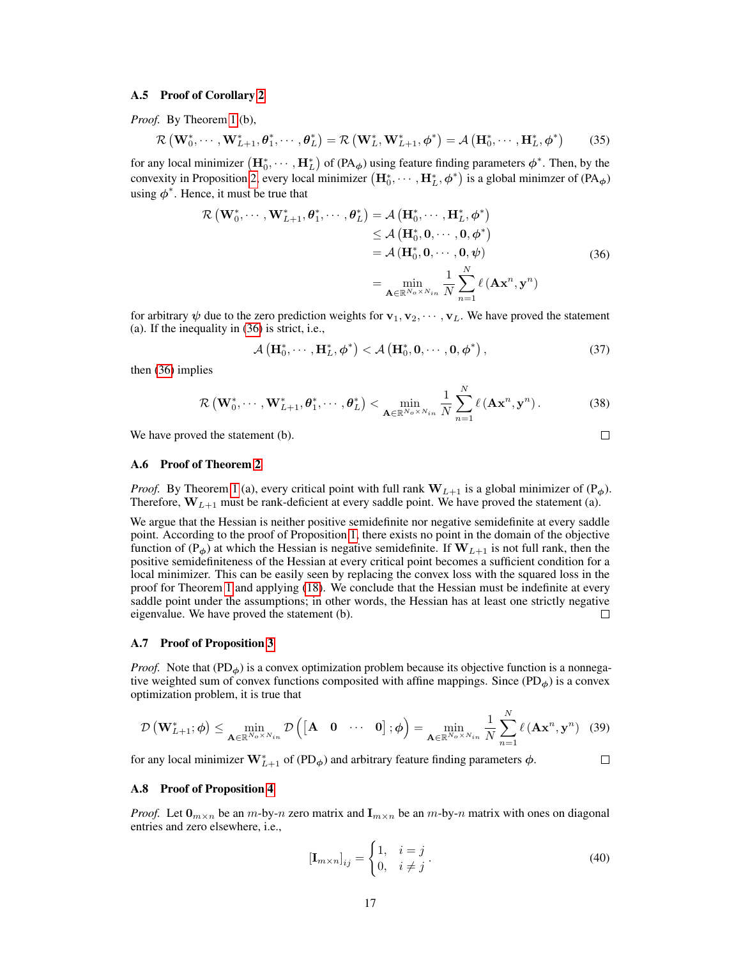#### A.5 Proof of Corollary [2](#page--1-6)

*Proof.* By Theorem [1](#page--1-2) (b),

$$
\mathcal{R}\left(\mathbf{W}_{0}^{*},\cdots,\mathbf{W}_{L+1}^{*},\boldsymbol{\theta}_{1}^{*},\cdots,\boldsymbol{\theta}_{L}^{*}\right)=\mathcal{R}\left(\mathbf{W}_{L}^{*},\mathbf{W}_{L+1}^{*},\boldsymbol{\phi}^{*}\right)=\mathcal{A}\left(\mathbf{H}_{0}^{*},\cdots,\mathbf{H}_{L}^{*},\boldsymbol{\phi}^{*}\right)
$$
(35)

for any local minimizer  $(\mathbf{H}_0^*, \cdots, \mathbf{H}_L^*)$  of  $(\mathsf{PA}_{\phi})$  using feature finding parameters  $\phi^*$ . Then, by the convexity in Proposition [2,](#page--1-1) every local minimizer  $(\mathbf{H}_0^*, \cdots, \mathbf{H}_L^*, \phi^*)$  is a global minimzer of  $(\text{PA}_{\phi})$ using  $\phi^*$ . Hence, it must be true that

<span id="page-4-0"></span>
$$
\mathcal{R}\left(\mathbf{W}_{0}^{*},\cdots,\mathbf{W}_{L+1}^{*},\boldsymbol{\theta}_{1}^{*},\cdots,\boldsymbol{\theta}_{L}^{*}\right) = \mathcal{A}\left(\mathbf{H}_{0}^{*},\cdots,\mathbf{H}_{L}^{*},\boldsymbol{\phi}^{*}\right)
$$
\n
$$
\leq \mathcal{A}\left(\mathbf{H}_{0}^{*},\mathbf{0},\cdots,\mathbf{0},\boldsymbol{\phi}^{*}\right)
$$
\n
$$
= \mathcal{A}\left(\mathbf{H}_{0}^{*},\mathbf{0},\cdots,\mathbf{0},\boldsymbol{\psi}\right)
$$
\n
$$
= \min_{\mathbf{A}\in\mathbb{R}^{N_{o}\times N_{in}}}\frac{1}{N}\sum_{n=1}^{N}\ell\left(\mathbf{A}\mathbf{x}^{n},\mathbf{y}^{n}\right)
$$
\n(36)

for arbitrary  $\psi$  due to the zero prediction weights for  $\mathbf{v}_1, \mathbf{v}_2, \cdots, \mathbf{v}_L$ . We have proved the statement (a). If the inequality in [\(36\)](#page-4-0) is strict, i.e.,

$$
\mathcal{A}\left(\mathbf{H}_0^*,\cdots,\mathbf{H}_L^*,\boldsymbol{\phi}^*\right) < \mathcal{A}\left(\mathbf{H}_0^*,\mathbf{0},\cdots,\mathbf{0},\boldsymbol{\phi}^*\right),\tag{37}
$$

then [\(36\)](#page-4-0) implies

$$
\mathcal{R}\left(\mathbf{W}_{0}^{*},\cdots,\mathbf{W}_{L+1}^{*},\boldsymbol{\theta}_{1}^{*},\cdots,\boldsymbol{\theta}_{L}^{*}\right)<\min_{\mathbf{A}\in\mathbb{R}^{N_{o}\times N_{in}}}\frac{1}{N}\sum_{n=1}^{N}\ell\left(\mathbf{A}\mathbf{x}^{n},\mathbf{y}^{n}\right).
$$
 (38)

We have proved the statement (b).

#### A.6 Proof of Theorem [2](#page--1-7)

*Proof.* By Theorem [1](#page--1-2) (a), every critical point with full rank  $W_{L+1}$  is a global minimizer of ( $P_{\phi}$ ). Therefore,  $W_{L+1}$  must be rank-deficient at every saddle point. We have proved the statement (a).

We argue that the Hessian is neither positive semidefinite nor negative semidefinite at every saddle point. According to the proof of Proposition [1,](#page--1-0) there exists no point in the domain of the objective function of ( $P_{\phi}$ ) at which the Hessian is negative semidefinite. If  $W_{L+1}$  is not full rank, then the positive semidefiniteness of the Hessian at every critical point becomes a sufficient condition for a local minimizer. This can be easily seen by replacing the convex loss with the squared loss in the proof for Theorem [1](#page--1-2) and applying [\(18\)](#page-0-2). We conclude that the Hessian must be indefinite at every saddle point under the assumptions; in other words, the Hessian has at least one strictly negative eigenvalue. We have proved the statement (b).  $\Box$ 

#### A.7 Proof of Proposition [3](#page--1-8)

*Proof.* Note that  $(PD<sub>\phi</sub>)$  is a convex optimization problem because its objective function is a nonnegative weighted sum of convex functions composited with affine mappings. Since  $(PD_{\phi})$  is a convex optimization problem, it is true that

$$
\mathcal{D}\left(\mathbf{W}_{L+1}^*,\boldsymbol{\phi}\right) \leq \min_{\mathbf{A}\in\mathbb{R}^{N_o\times N_{in}}}\mathcal{D}\left(\begin{bmatrix}\mathbf{A} & \mathbf{0} & \cdots & \mathbf{0}\end{bmatrix};\boldsymbol{\phi}\right) = \min_{\mathbf{A}\in\mathbb{R}^{N_o\times N_{in}}}\frac{1}{N}\sum_{n=1}^N\ell\left(\mathbf{A}\mathbf{x}^n,\mathbf{y}^n\right) \tag{39}
$$

for any local minimizer  $\mathbf{W}_{L+1}^*$  of (PD<sub> $\phi$ </sub>) and arbitrary feature finding parameters  $\phi$ .

#### A.8 Proof of Proposition [4](#page--1-9)

*Proof.* Let  $\mathbf{0}_{m \times n}$  be an m-by-n zero matrix and  $\mathbf{I}_{m \times n}$  be an m-by-n matrix with ones on diagonal entries and zero elsewhere, i.e.,

$$
\left[\mathbf{I}_{m \times n}\right]_{ij} = \begin{cases} 1, & i = j \\ 0, & i \neq j \end{cases} . \tag{40}
$$

 $\Box$ 

 $\Box$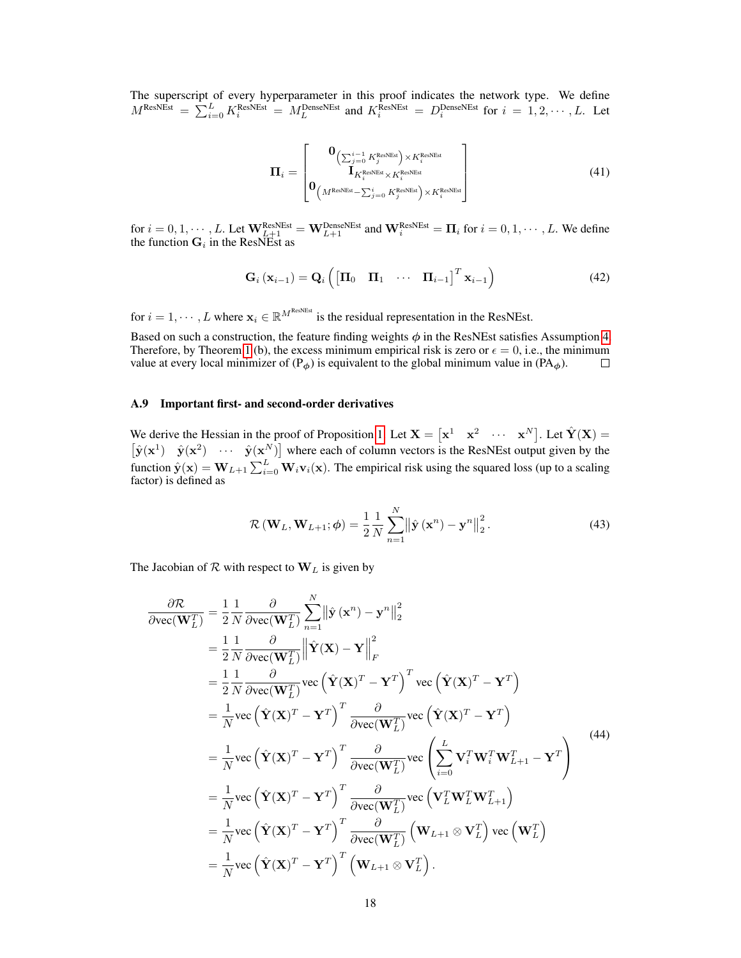The superscript of every hyperparameter in this proof indicates the network type. We define  $M^{\text{ResNEst}} = \sum_{i=0}^{L} K_i^{\text{ResNEst}} = M_L^{\text{DenseNEst}}$  and  $K_i^{\text{ResNEst}} = D_i^{\text{DenseNEst}}$  for  $i = 1, 2, \cdots, L$ . Let

$$
\Pi_{i} = \begin{bmatrix} \mathbf{0}_{\left(\sum_{j=0}^{i-1} K_{j}^{\text{ResNEst}}\right) \times K_{i}^{\text{ResNEst}}\\ \mathbf{I}_{K_{i}^{\text{ResNEst}} \times K_{i}^{\text{ResNEst}}\\ \mathbf{0}_{\left(M^{\text{ResNEst}} - \sum_{j=0}^{i} K_{j}^{\text{ResNEst}}\right) \times K_{i}^{\text{ResNEst}} \end{bmatrix}
$$
(41)

for  $i = 0, 1, \dots, L$ . Let  $\mathbf{W}_{L+1}^{\text{ResNEst}} = \mathbf{W}_{L+1}^{\text{DenseNEst}}$  and  $\mathbf{W}_{i}^{\text{ResNEst}} = \mathbf{\Pi}_{i}$  for  $i = 0, 1, \dots, L$ . We define the function  $G_i$  in the ResNEst as

$$
\mathbf{G}_{i}\left(\mathbf{x}_{i-1}\right) = \mathbf{Q}_{i}\left(\begin{bmatrix} \mathbf{\Pi}_{0} & \mathbf{\Pi}_{1} & \cdots & \mathbf{\Pi}_{i-1} \end{bmatrix}^{T} \mathbf{x}_{i-1}\right) \tag{42}
$$

for  $i = 1, \dots, L$  where  $\mathbf{x}_i \in \mathbb{R}^{M^{\text{ResNEst}}}$  is the residual representation in the ResNEst.

Based on such a construction, the feature finding weights  $\phi$  in the ResNEst satisfies Assumption [4.](#page--1-4) Therefore, by Theorem [1](#page--1-2) (b), the excess minimum empirical risk is zero or  $\epsilon = 0$ , i.e., the minimum value at every local minimizer of  $(P<sub>\phi</sub>)$  is equivalent to the global minimum value in  $(P<sub>\phi</sub>)$ .  $\Box$ 

#### <span id="page-5-0"></span>A.9 Important first- and second-order derivatives

We derive the Hessian in the proof of Proposition [1.](#page--1-0) Let  $X = \begin{bmatrix} x^1 & x^2 & \cdots & x^N \end{bmatrix}$ . Let  $\hat{Y}(X) =$  $\left[\hat{y}(\mathbf{x}^1) \quad \hat{y}(\mathbf{x}^2) \quad \cdots \quad \hat{y}(\mathbf{x}^N)\right]$  where each of column vectors is the ResNEst output given by the function  $\hat{\mathbf{y}}(\mathbf{x}) = \mathbf{W}_{L+1} \sum_{i=0}^{L} \mathbf{W}_i \mathbf{v}_i(\mathbf{x})$ . The empirical risk using the squared loss (up to a scaling factor) is defined as

$$
\mathcal{R}\left(\mathbf{W}_{L}, \mathbf{W}_{L+1}; \boldsymbol{\phi}\right) = \frac{1}{2} \frac{1}{N} \sum_{n=1}^{N} \left\| \hat{\mathbf{y}}\left(\mathbf{x}^{n}\right) - \mathbf{y}^{n} \right\|_{2}^{2}.
$$
\n(43)

The Jacobian of  $R$  with respect to  $W_L$  is given by

$$
\frac{\partial \mathcal{R}}{\partial \text{vec}(\mathbf{W}_{L}^{T})} = \frac{1}{2} \frac{1}{N} \frac{\partial}{\partial \text{vec}(\mathbf{W}_{L}^{T})} \sum_{n=1}^{N} ||\hat{\mathbf{y}}(\mathbf{x}^{n}) - \mathbf{y}^{n}||_{2}^{2}
$$
\n
$$
= \frac{1}{2} \frac{1}{N} \frac{\partial}{\partial \text{vec}(\mathbf{W}_{L}^{T})} ||\hat{\mathbf{Y}}(\mathbf{X}) - \mathbf{Y}||_{F}^{2}
$$
\n
$$
= \frac{1}{2} \frac{1}{N} \frac{\partial}{\partial \text{vec}(\mathbf{W}_{L}^{T})} \text{vec}(\hat{\mathbf{Y}}(\mathbf{X})^{T} - \mathbf{Y}^{T})^{T} \text{vec}(\hat{\mathbf{Y}}(\mathbf{X})^{T} - \mathbf{Y}^{T})
$$
\n
$$
= \frac{1}{N} \text{vec}(\hat{\mathbf{Y}}(\mathbf{X})^{T} - \mathbf{Y}^{T})^{T} \frac{\partial}{\partial \text{vec}(\mathbf{W}_{L}^{T})} \text{vec}(\hat{\mathbf{Y}}(\mathbf{X})^{T} - \mathbf{Y}^{T})
$$
\n
$$
= \frac{1}{N} \text{vec}(\hat{\mathbf{Y}}(\mathbf{X})^{T} - \mathbf{Y}^{T})^{T} \frac{\partial}{\partial \text{vec}(\mathbf{W}_{L}^{T})} \text{vec}(\hat{\mathbf{Y}}(\mathbf{X})^{T} \mathbf{W}_{L+1}^{T} - \mathbf{Y}^{T})
$$
\n
$$
= \frac{1}{N} \text{vec}(\hat{\mathbf{Y}}(\mathbf{X})^{T} - \mathbf{Y}^{T})^{T} \frac{\partial}{\partial \text{vec}(\mathbf{W}_{L}^{T})} \text{vec}(\mathbf{V}_{L}^{T} \mathbf{W}_{L+1}^{T})
$$
\n
$$
= \frac{1}{N} \text{vec}(\hat{\mathbf{Y}}(\mathbf{X})^{T} - \mathbf{Y}^{T})^{T} \frac{\partial}{\partial \text{vec}(\mathbf{W}_{L}^{T})} (\mathbf{W}_{L+1} \otimes \mathbf{V}_{L}^{T}) \text{vec}(\mathbf{W}_{L}^{T})
$$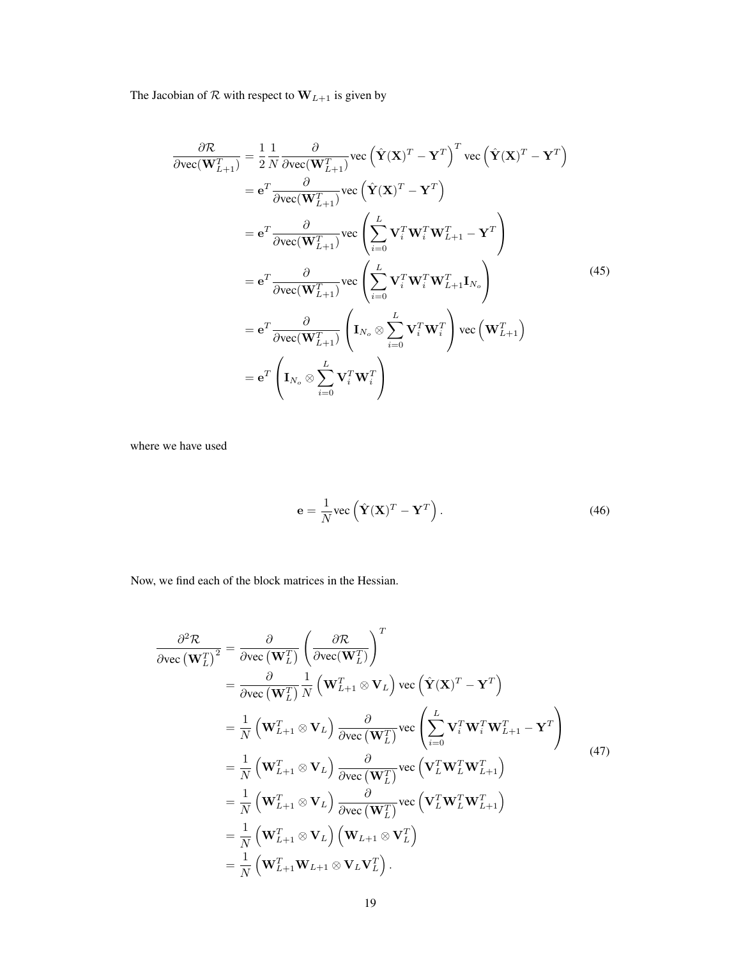The Jacobian of  $R$  with respect to  $W_{L+1}$  is given by

$$
\frac{\partial \mathcal{R}}{\partial \text{vec}(\mathbf{W}_{L+1}^T)} = \frac{1}{2} \frac{1}{N} \frac{\partial}{\partial \text{vec}(\mathbf{W}_{L+1}^T)} \text{vec} \left(\hat{\mathbf{Y}}(\mathbf{X})^T - \mathbf{Y}^T\right)^T \text{vec} \left(\hat{\mathbf{Y}}(\mathbf{X})^T - \mathbf{Y}^T\right)
$$
\n
$$
= \mathbf{e}^T \frac{\partial}{\partial \text{vec}(\mathbf{W}_{L+1}^T)} \text{vec} \left(\hat{\mathbf{Y}}(\mathbf{X})^T - \mathbf{Y}^T\right)
$$
\n
$$
= \mathbf{e}^T \frac{\partial}{\partial \text{vec}(\mathbf{W}_{L+1}^T)} \text{vec} \left(\sum_{i=0}^L \mathbf{V}_i^T \mathbf{W}_i^T \mathbf{W}_{L+1}^T - \mathbf{Y}^T\right)
$$
\n
$$
= \mathbf{e}^T \frac{\partial}{\partial \text{vec}(\mathbf{W}_{L+1}^T)} \text{vec} \left(\sum_{i=0}^L \mathbf{V}_i^T \mathbf{W}_i^T \mathbf{W}_{L+1}^T \mathbf{I}_{N_c}\right)
$$
\n
$$
= \mathbf{e}^T \frac{\partial}{\partial \text{vec}(\mathbf{W}_{L+1}^T)} \left(\mathbf{I}_{N_o} \otimes \sum_{i=0}^L \mathbf{V}_i^T \mathbf{W}_i^T\right) \text{vec} \left(\mathbf{W}_{L+1}^T\right)
$$
\n
$$
= \mathbf{e}^T \left(\mathbf{I}_{N_o} \otimes \sum_{i=0}^L \mathbf{V}_i^T \mathbf{W}_i^T\right)
$$
\n(45)

where we have used

$$
\mathbf{e} = \frac{1}{N} \text{vec} \left( \hat{\mathbf{Y}} (\mathbf{X})^T - \mathbf{Y}^T \right).
$$
 (46)

Now, we find each of the block matrices in the Hessian.

$$
\frac{\partial^2 \mathcal{R}}{\partial \text{vec}(\mathbf{W}_L^T)^2} = \frac{\partial}{\partial \text{vec}(\mathbf{W}_L^T)} \left( \frac{\partial \mathcal{R}}{\partial \text{vec}(\mathbf{W}_L^T)} \right)^T \n= \frac{\partial}{\partial \text{vec}(\mathbf{W}_L^T)} \frac{1}{N} \left( \mathbf{W}_{L+1}^T \otimes \mathbf{V}_L \right) \text{vec} \left( \hat{\mathbf{Y}} (\mathbf{X})^T - \mathbf{Y}^T \right) \n= \frac{1}{N} \left( \mathbf{W}_{L+1}^T \otimes \mathbf{V}_L \right) \frac{\partial}{\partial \text{vec}(\mathbf{W}_L^T)} \text{vec} \left( \sum_{i=0}^L \mathbf{V}_i^T \mathbf{W}_i^T \mathbf{W}_{L+1}^T - \mathbf{Y}^T \right) \n= \frac{1}{N} \left( \mathbf{W}_{L+1}^T \otimes \mathbf{V}_L \right) \frac{\partial}{\partial \text{vec}(\mathbf{W}_L^T)} \text{vec} \left( \mathbf{V}_L^T \mathbf{W}_L^T \mathbf{W}_{L+1}^T \right) \n= \frac{1}{N} \left( \mathbf{W}_{L+1}^T \otimes \mathbf{V}_L \right) \frac{\partial}{\partial \text{vec}(\mathbf{W}_L^T)} \text{vec} \left( \mathbf{V}_L^T \mathbf{W}_L^T \mathbf{W}_{L+1}^T \right) \n= \frac{1}{N} \left( \mathbf{W}_{L+1}^T \otimes \mathbf{V}_L \right) \left( \mathbf{W}_{L+1} \otimes \mathbf{V}_L^T \right) \n= \frac{1}{N} \left( \mathbf{W}_{L+1}^T \mathbf{W}_{L+1} \otimes \mathbf{V}_L \mathbf{V}_L^T \right).
$$
\n(A7)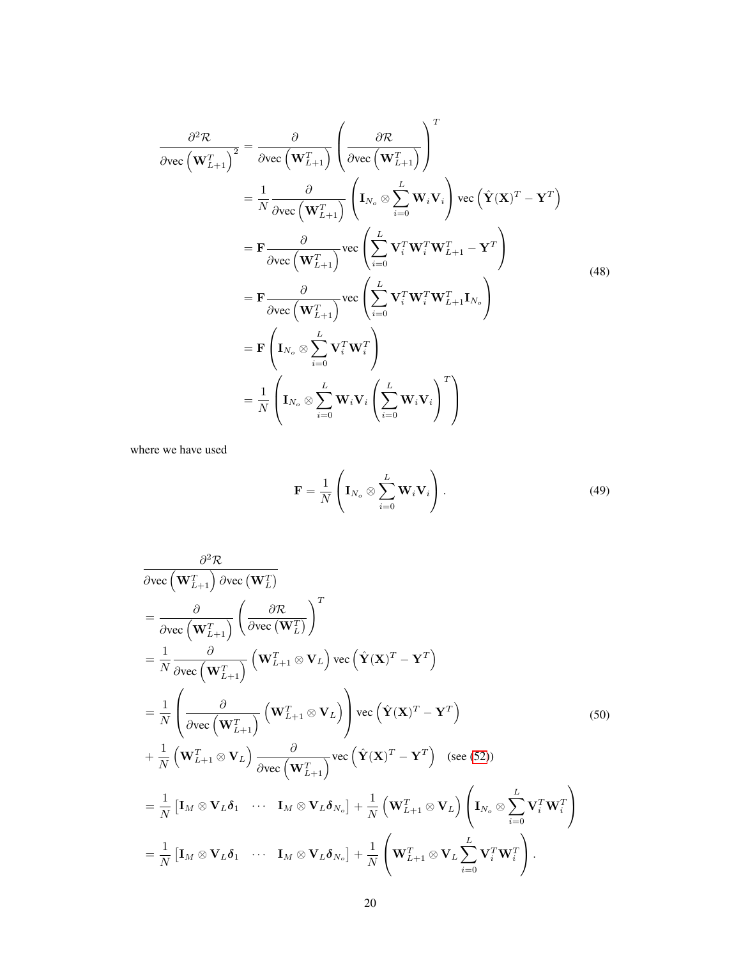$$
\frac{\partial^2 \mathcal{R}}{\partial \text{vec}\left(\mathbf{W}_{L+1}^T\right)^2} = \frac{\partial}{\partial \text{vec}\left(\mathbf{W}_{L+1}^T\right)} \left(\frac{\partial \mathcal{R}}{\partial \text{vec}\left(\mathbf{W}_{L+1}^T\right)}\right)^T
$$
\n
$$
= \frac{1}{N} \frac{\partial}{\partial \text{vec}\left(\mathbf{W}_{L+1}^T\right)} \left(\mathbf{I}_{N_o} \otimes \sum_{i=0}^L \mathbf{W}_i \mathbf{V}_i\right) \text{vec}\left(\hat{\mathbf{Y}}(\mathbf{X})^T - \mathbf{Y}^T\right)
$$
\n
$$
= \mathbf{F} \frac{\partial}{\partial \text{vec}\left(\mathbf{W}_{L+1}^T\right)} \text{vec}\left(\sum_{i=0}^L \mathbf{V}_i^T \mathbf{W}_i^T \mathbf{W}_{L+1}^T - \mathbf{Y}^T\right)
$$
\n
$$
= \mathbf{F} \frac{\partial}{\partial \text{vec}\left(\mathbf{W}_{L+1}^T\right)} \text{vec}\left(\sum_{i=0}^L \mathbf{V}_i^T \mathbf{W}_i^T \mathbf{W}_{L+1}^T \mathbf{I}_{N_o}\right)
$$
\n
$$
= \mathbf{F} \left(\mathbf{I}_{N_o} \otimes \sum_{i=0}^L \mathbf{V}_i^T \mathbf{W}_i^T\right)
$$
\n
$$
= \frac{1}{N} \left(\mathbf{I}_{N_o} \otimes \sum_{i=0}^L \mathbf{W}_i \mathbf{V}_i \left(\sum_{i=0}^L \mathbf{W}_i \mathbf{V}_i\right)^T\right)
$$
\n(48)

where we have used

$$
\mathbf{F} = \frac{1}{N} \left( \mathbf{I}_{N_o} \otimes \sum_{i=0}^{L} \mathbf{W}_i \mathbf{V}_i \right).
$$
 (49)

<span id="page-7-0"></span>
$$
\frac{\partial^2 \mathcal{R}}{\partial \text{vec} (\mathbf{W}_{L+1}^T) \partial \text{vec} (\mathbf{W}_{L}^T)}
$$
\n
$$
= \frac{\partial}{\partial \text{vec} (\mathbf{W}_{L+1}^T)} \left( \frac{\partial \mathcal{R}}{\partial \text{vec} (\mathbf{W}_{L+1}^T)} \right)^T
$$
\n
$$
= \frac{1}{N} \frac{\partial}{\partial \text{vec} (\mathbf{W}_{L+1}^T)} (\mathbf{W}_{L+1}^T \otimes \mathbf{V}_L) \text{vec} (\hat{\mathbf{Y}} (\mathbf{X})^T - \mathbf{Y}^T)
$$
\n
$$
= \frac{1}{N} \left( \frac{\partial}{\partial \text{vec} (\mathbf{W}_{L+1}^T)} (\mathbf{W}_{L+1}^T \otimes \mathbf{V}_L) \right) \text{vec} (\hat{\mathbf{Y}} (\mathbf{X})^T - \mathbf{Y}^T)
$$
\n
$$
+ \frac{1}{N} (\mathbf{W}_{L+1}^T \otimes \mathbf{V}_L) \frac{\partial}{\partial \text{vec} (\mathbf{W}_{L+1}^T)} \text{vec} (\hat{\mathbf{Y}} (\mathbf{X})^T - \mathbf{Y}^T) (\text{see (52)})
$$
\n
$$
= \frac{1}{N} [\mathbf{I}_M \otimes \mathbf{V}_L \delta_1 \cdots \mathbf{I}_M \otimes \mathbf{V}_L \delta_{N_o}] + \frac{1}{N} (\mathbf{W}_{L+1}^T \otimes \mathbf{V}_L) (\mathbf{I}_{N_o} \otimes \sum_{i=0}^L \mathbf{V}_i^T \mathbf{W}_i^T)
$$
\n
$$
= \frac{1}{N} [\mathbf{I}_M \otimes \mathbf{V}_L \delta_1 \cdots \mathbf{I}_M \otimes \mathbf{V}_L \delta_{N_o}] + \frac{1}{N} (\mathbf{W}_{L+1}^T \otimes \mathbf{V}_L \sum_{i=0}^L \mathbf{V}_i^T \mathbf{W}_i^T).
$$
\n(A)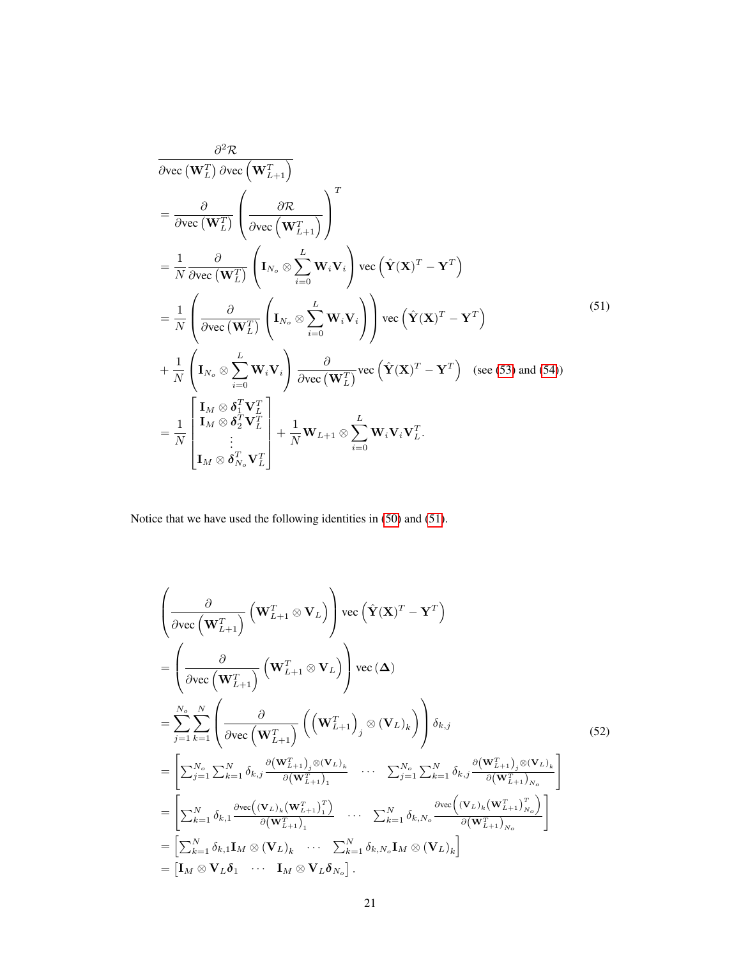<span id="page-8-1"></span>
$$
\frac{\partial^2 \mathcal{R}}{\partial \text{vec}(\mathbf{W}_L^T) \partial \text{vec}(\mathbf{W}_{L+1}^T)}
$$
\n
$$
= \frac{\partial}{\partial \text{vec}(\mathbf{W}_L^T)} \left( \frac{\partial \mathcal{R}}{\partial \text{vec}(\mathbf{W}_L^T)} \right)^T
$$
\n
$$
= \frac{1}{N} \frac{\partial}{\partial \text{vec}(\mathbf{W}_L^T)} \left( \mathbf{I}_{N_o} \otimes \sum_{i=0}^L \mathbf{W}_i \mathbf{V}_i \right) \text{vec}(\hat{\mathbf{Y}}(\mathbf{X})^T - \mathbf{Y}^T)
$$
\n
$$
= \frac{1}{N} \left( \frac{\partial}{\partial \text{vec}(\mathbf{W}_L^T)} \left( \mathbf{I}_{N_o} \otimes \sum_{i=0}^L \mathbf{W}_i \mathbf{V}_i \right) \right) \text{vec}(\hat{\mathbf{Y}}(\mathbf{X})^T - \mathbf{Y}^T)
$$
\n
$$
+ \frac{1}{N} \left( \mathbf{I}_{N_o} \otimes \sum_{i=0}^L \mathbf{W}_i \mathbf{V}_i \right) \frac{\partial}{\partial \text{vec}(\mathbf{W}_L^T)} \text{vec}(\hat{\mathbf{Y}}(\mathbf{X})^T - \mathbf{Y}^T) \quad \text{(see (53) and (54))}
$$
\n
$$
= \frac{1}{N} \begin{bmatrix} \mathbf{I}_M \otimes \delta_1^T \mathbf{V}_L^T \\ \mathbf{I}_M \otimes \delta_2^T \mathbf{V}_L^T \\ \vdots \\ \mathbf{I}_M \otimes \delta_{N_o}^T \mathbf{V}_L^T \end{bmatrix} + \frac{1}{N} \mathbf{W}_{L+1} \otimes \sum_{i=0}^L \mathbf{W}_i \mathbf{V}_i \mathbf{V}_L^T.
$$
\n(51)

<span id="page-8-0"></span>Notice that we have used the following identities in [\(50\)](#page-7-0) and [\(51\)](#page-8-1).

$$
\begin{split}\n&\left(\frac{\partial}{\partial \text{vec}\left(\mathbf{W}_{L+1}^{T}\right)}\left(\mathbf{W}_{L+1}^{T} \otimes \mathbf{V}_{L}\right)\right) \text{vec}\left(\hat{\mathbf{Y}}(\mathbf{X})^{T} - \mathbf{Y}^{T}\right) \\
&= \left(\frac{\partial}{\partial \text{vec}\left(\mathbf{W}_{L+1}^{T}\right)}\left(\mathbf{W}_{L+1}^{T} \otimes \mathbf{V}_{L}\right)\right) \text{vec}\left(\boldsymbol{\Delta}\right) \\
&= \sum_{j=1}^{N_{o}} \sum_{k=1}^{N} \left(\frac{\partial}{\partial \text{vec}\left(\mathbf{W}_{L+1}^{T}\right)}\left(\left(\mathbf{W}_{L+1}^{T}\right)_{j} \otimes (\mathbf{V}_{L})_{k}\right)\right) \delta_{k,j} \\
&= \left[\sum_{j=1}^{N_{o}} \sum_{k=1}^{N} \delta_{k,j} \frac{\partial(\mathbf{W}_{L+1}^{T})_{j} \otimes (\mathbf{V}_{L})_{k}}{\partial(\mathbf{W}_{L+1}^{T})_{1}} \cdots \sum_{j=1}^{N_{o}} \sum_{k=1}^{N} \delta_{k,j} \frac{\partial(\mathbf{W}_{L+1}^{T})_{j} \otimes (\mathbf{V}_{L})_{k}}{\partial(\mathbf{W}_{L+1}^{T})_{N_{o}}} \right] \\
&= \left[\sum_{k=1}^{N} \delta_{k,1} \frac{\partial \text{vec}\left((\mathbf{V}_{L})_{k}(\mathbf{W}_{L+1}^{T})_{1}^{T}\right)}{\partial(\mathbf{W}_{L+1}^{T})_{1}} \cdots \sum_{k=1}^{N} \delta_{k,N_{o}} \frac{\partial \text{vec}\left((\mathbf{V}_{L})_{k}(\mathbf{W}_{L+1}^{T})_{N_{o}}^{T}\right)}{\partial(\mathbf{W}_{L+1}^{T})_{N_{o}}} \right] \\
&= \left[\sum_{k=1}^{N} \delta_{k,1} \mathbf{I}_{M} \otimes (\mathbf{V}_{L})_{k} \cdots \sum_{k=1}^{N} \delta_{k,N_{o}} \mathbf{I}_{M} \otimes (\mathbf{V}_{L})_{k}\right] \\
&= \left[\mathbf{I}_{M} \otimes \mathbf{V}_{L} \delta_{1} \cdots \mathbf{I}_{M} \otimes \mathbf
$$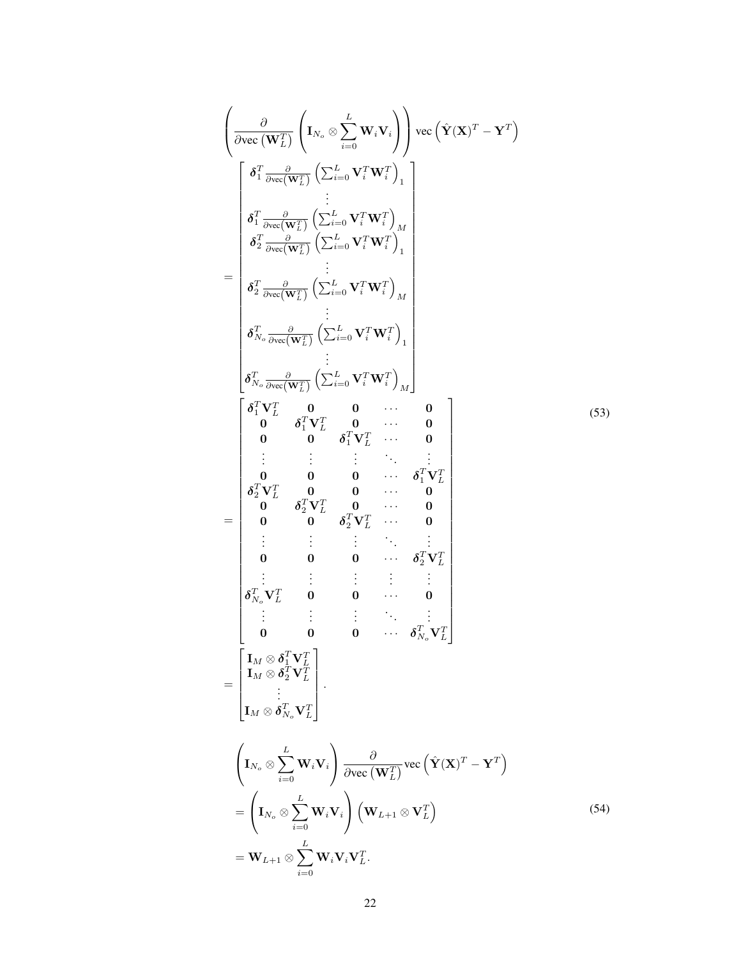<span id="page-9-1"></span><span id="page-9-0"></span>
$$
\begin{pmatrix}\n\frac{\partial}{\partial \text{vec}(\mathbf{W}_{L}^{T})}\left(\mathbf{I}_{N_{o}} \otimes \sum_{i=0}^{L} \mathbf{W}_{i} \mathbf{V}_{i}\right) \text{vec}\left(\hat{\mathbf{Y}}(\mathbf{X})^{T} - \mathbf{Y}^{T}\right) \\
\frac{\partial}{\partial \frac{T}{i}} \frac{\partial}{\partial \text{vec}(\mathbf{W}_{L}^{T})}\left(\sum_{i=0}^{L} \mathbf{V}_{i}^{T} \mathbf{W}_{i}^{T}\right)_{1} \\
\vdots \\
\frac{\partial}{\partial \frac{T}{2}} \frac{\partial}{\partial \text{vec}(\mathbf{W}_{L}^{T})}\left(\sum_{i=0}^{L} \mathbf{V}_{i}^{T} \mathbf{W}_{i}^{T}\right)_{M} \\
\vdots \\
\frac{\partial}{\partial \frac{T}{2}} \frac{\partial}{\partial \text{vec}(\mathbf{W}_{L}^{T})}\left(\sum_{i=0}^{L} \mathbf{V}_{i}^{T} \mathbf{W}_{i}^{T}\right)_{M} \\
\vdots \\
\frac{\partial}{\partial \frac{T}{N_{o}} \frac{\partial}{\partial \text{vec}(\mathbf{W}_{L}^{T})}}\left(\sum_{i=0}^{L} \mathbf{V}_{i}^{T} \mathbf{W}_{i}^{T}\right)_{1} \\
\vdots \\
\frac{\partial}{\partial \frac{T}{N_{o}} \frac{\partial}{\partial \text{vec}(\mathbf{W}_{L}^{T})}}\left(\sum_{i=0}^{L} \mathbf{V}_{i}^{T} \mathbf{W}_{i}^{T}\right)_{M} \\
\vdots \\
\frac{\partial}{\partial \frac{T}{N_{o}} \frac{\partial}{\partial \text{vec}(\mathbf{W}_{L}^{T})}}\left(\sum_{i=0}^{L} \mathbf{V}_{i}^{T} \mathbf{W}_{i}^{T}\right)_{M} \\
\vdots \\
\frac{\partial}{\partial \frac{T}{N_{o}} \frac{\partial}{\partial \text{vec}(\mathbf{W}_{L}^{T})}}\left(\sum_{i=0}^{L} \mathbf{V}_{i}^{T} \mathbf{W}_{i}^{T}\right)_{M} \\
\vdots \\
\frac{\partial}{\partial \frac{T}{N_{o}} \frac{\partial}{\partial \text{vec}(\mathbf{W}_{L}^{T})}}\left(\sum_{i=0}^{L} \mathbf{V}_{i}^{T} \mathbf{W}_{i}^{T}\right)_{1} \\
$$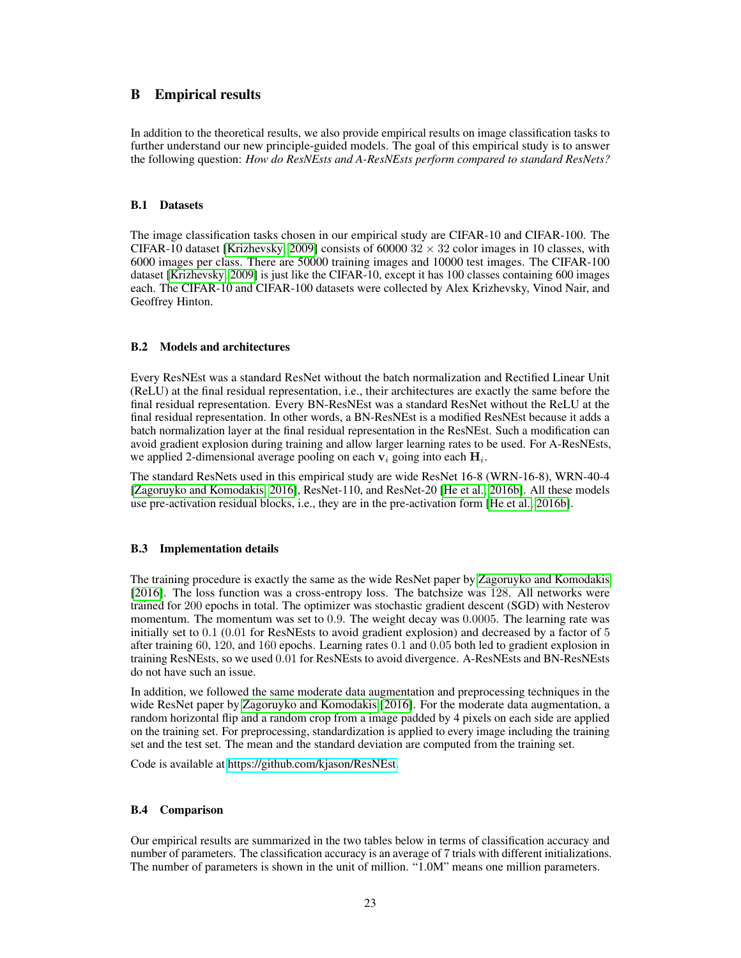## B Empirical results

In addition to the theoretical results, we also provide empirical results on image classification tasks to further understand our new principle-guided models. The goal of this empirical study is to answer the following question: *How do ResNEsts and A-ResNEsts perform compared to standard ResNets?*

## B.1 Datasets

The image classification tasks chosen in our empirical study are CIFAR-10 and CIFAR-100. The CIFAR-10 dataset [\[Krizhevsky, 2009\]](#page--1-10) consists of 60000  $32 \times 32$  color images in 10 classes, with 6000 images per class. There are 50000 training images and 10000 test images. The CIFAR-100 dataset [\[Krizhevsky, 2009\]](#page--1-10) is just like the CIFAR-10, except it has 100 classes containing 600 images each. The CIFAR-10 and CIFAR-100 datasets were collected by Alex Krizhevsky, Vinod Nair, and Geoffrey Hinton.

### B.2 Models and architectures

Every ResNEst was a standard ResNet without the batch normalization and Rectified Linear Unit (ReLU) at the final residual representation, i.e., their architectures are exactly the same before the final residual representation. Every BN-ResNEst was a standard ResNet without the ReLU at the final residual representation. In other words, a BN-ResNEst is a modified ResNEst because it adds a batch normalization layer at the final residual representation in the ResNEst. Such a modification can avoid gradient explosion during training and allow larger learning rates to be used. For A-ResNEsts, we applied 2-dimensional average pooling on each  $v_i$  going into each  $H_i$ .

The standard ResNets used in this empirical study are wide ResNet 16-8 (WRN-16-8), WRN-40-4 [\[Zagoruyko and Komodakis, 2016\]](#page--1-11), ResNet-110, and ResNet-20 [\[He et al., 2016b\]](#page--1-12). All these models use pre-activation residual blocks, i.e., they are in the pre-activation form [\[He et al., 2016b\]](#page--1-12).

## B.3 Implementation details

The training procedure is exactly the same as the wide ResNet paper by [Zagoruyko and Komodakis](#page--1-11) [\[2016\]](#page--1-11). The loss function was a cross-entropy loss. The batchsize was 128. All networks were trained for 200 epochs in total. The optimizer was stochastic gradient descent (SGD) with Nesterov momentum. The momentum was set to 0.9. The weight decay was 0.0005. The learning rate was initially set to 0.1 (0.01 for ResNEsts to avoid gradient explosion) and decreased by a factor of 5 after training 60, 120, and 160 epochs. Learning rates 0.1 and 0.05 both led to gradient explosion in training ResNEsts, so we used 0.01 for ResNEsts to avoid divergence. A-ResNEsts and BN-ResNEsts do not have such an issue.

In addition, we followed the same moderate data augmentation and preprocessing techniques in the wide ResNet paper by [Zagoruyko and Komodakis](#page--1-11) [\[2016\]](#page--1-11). For the moderate data augmentation, a random horizontal flip and a random crop from a image padded by 4 pixels on each side are applied on the training set. For preprocessing, standardization is applied to every image including the training set and the test set. The mean and the standard deviation are computed from the training set.

Code is available at [https://github.com/kjason/ResNEst.](https://github.com/kjason/ResNEst)

## <span id="page-10-0"></span>B.4 Comparison

Our empirical results are summarized in the two tables below in terms of classification accuracy and number of parameters. The classification accuracy is an average of 7 trials with different initializations. The number of parameters is shown in the unit of million. "1.0M" means one million parameters.